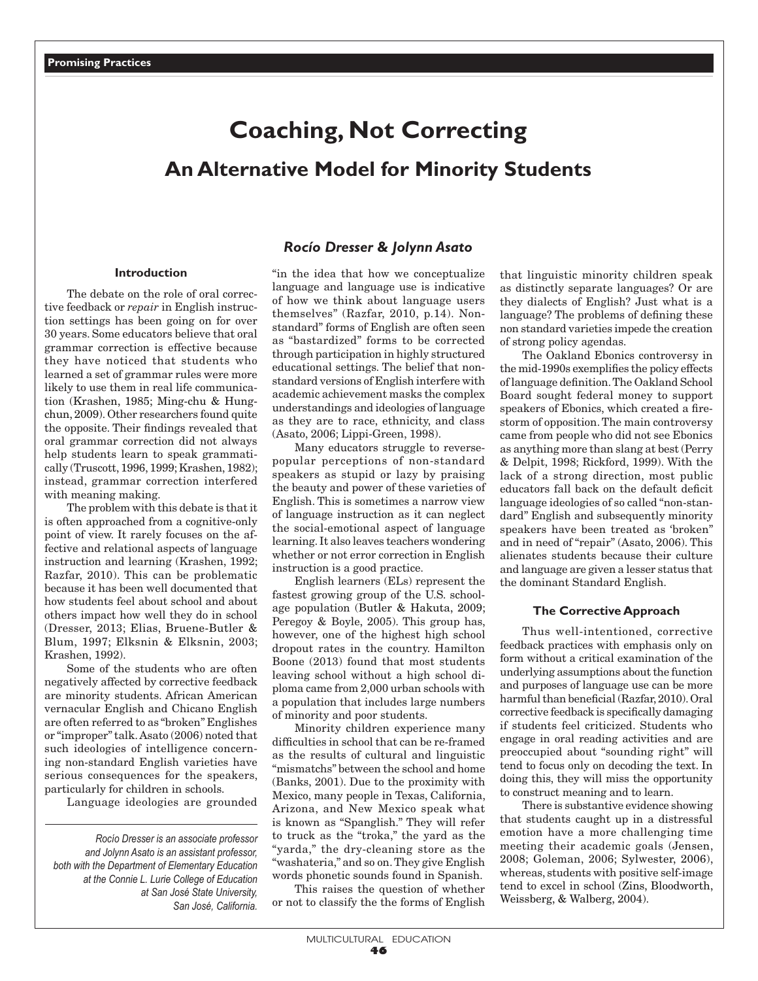# **Coaching, Not Correcting**

## **An Alternative Model for Minority Students**

## **Introduction**

The debate on the role of oral corrective feedback or *repair* in English instruction settings has been going on for over 30 years. Some educators believe that oral grammar correction is effective because they have noticed that students who learned a set of grammar rules were more likely to use them in real life communication (Krashen, 1985; Ming-chu & Hungchun, 2009). Other researchers found quite the opposite. Their findings revealed that oral grammar correction did not always help students learn to speak grammatically (Truscott, 1996, 1999; Krashen, 1982); instead, grammar correction interfered with meaning making.

The problem with this debate is that it is often approached from a cognitive-only point of view. It rarely focuses on the affective and relational aspects of language instruction and learning (Krashen, 1992; Razfar, 2010). This can be problematic because it has been well documented that how students feel about school and about others impact how well they do in school (Dresser, 2013; Elias, Bruene-Butler & Blum, 1997; Elksnin & Elksnin, 2003; Krashen, 1992).

Some of the students who are often negatively affected by corrective feedback are minority students. African American vernacular English and Chicano English are often referred to as "broken" Englishes or "improper" talk. Asato (2006) noted that such ideologies of intelligence concerning non-standard English varieties have serious consequences for the speakers, particularly for children in schools.

Language ideologies are grounded

*Rocío Dresser is an associate professor and Jolynn Asato is an assistant professor, both with the Department of Elementary Education at the Connie L. Lurie College of Education at San José State University, San José, California.*

## *Rocío Dresser* **&** *Jolynn Asato*

"in the idea that how we conceptualize language and language use is indicative of how we think about language users themselves" (Razfar, 2010, p.14). Nonstandard" forms of English are often seen as "bastardized" forms to be corrected through participation in highly structured educational settings. The belief that nonstandard versions of English interfere with academic achievement masks the complex understandings and ideologies of language as they are to race, ethnicity, and class (Asato, 2006; Lippi-Green, 1998).

Many educators struggle to reversepopular perceptions of non-standard speakers as stupid or lazy by praising the beauty and power of these varieties of English. This is sometimes a narrow view of language instruction as it can neglect the social-emotional aspect of language learning. It also leaves teachers wondering whether or not error correction in English instruction is a good practice.

English learners (ELs) represent the fastest growing group of the U.S. schoolage population (Butler & Hakuta, 2009; Peregoy & Boyle, 2005). This group has, however, one of the highest high school dropout rates in the country. Hamilton Boone (2013) found that most students leaving school without a high school diploma came from 2,000 urban schools with a population that includes large numbers of minority and poor students.

Minority children experience many difficulties in school that can be re-framed as the results of cultural and linguistic "mismatchs" between the school and home (Banks, 2001). Due to the proximity with Mexico, many people in Texas, California, Arizona, and New Mexico speak what is known as "Spanglish." They will refer to truck as the "troka," the yard as the "yarda," the dry-cleaning store as the "washateria," and so on. They give English words phonetic sounds found in Spanish.

This raises the question of whether or not to classify the the forms of English that linguistic minority children speak as distinctly separate languages? Or are they dialects of English? Just what is a language? The problems of defining these non standard varieties impede the creation of strong policy agendas.

The Oakland Ebonics controversy in the mid-1990s exemplifies the policy effects of language definition. The Oakland School Board sought federal money to support speakers of Ebonics, which created a firestorm of opposition. The main controversy came from people who did not see Ebonics as anything more than slang at best (Perry & Delpit, 1998; Rickford, 1999). With the lack of a strong direction, most public educators fall back on the default deficit language ideologies of so called "non-standard" English and subsequently minority speakers have been treated as 'broken" and in need of "repair" (Asato, 2006). This alienates students because their culture and language are given a lesser status that the dominant Standard English.

#### **The Corrective Approach**

Thus well-intentioned, corrective feedback practices with emphasis only on form without a critical examination of the underlying assumptions about the function and purposes of language use can be more harmful than beneficial (Razfar, 2010). Oral corrective feedback is specifically damaging if students feel criticized. Students who engage in oral reading activities and are preoccupied about "sounding right" will tend to focus only on decoding the text. In doing this, they will miss the opportunity to construct meaning and to learn.

There is substantive evidence showing that students caught up in a distressful emotion have a more challenging time meeting their academic goals (Jensen, 2008; Goleman, 2006; Sylwester, 2006), whereas, students with positive self-image tend to excel in school (Zins, Bloodworth, Weissberg, & Walberg, 2004).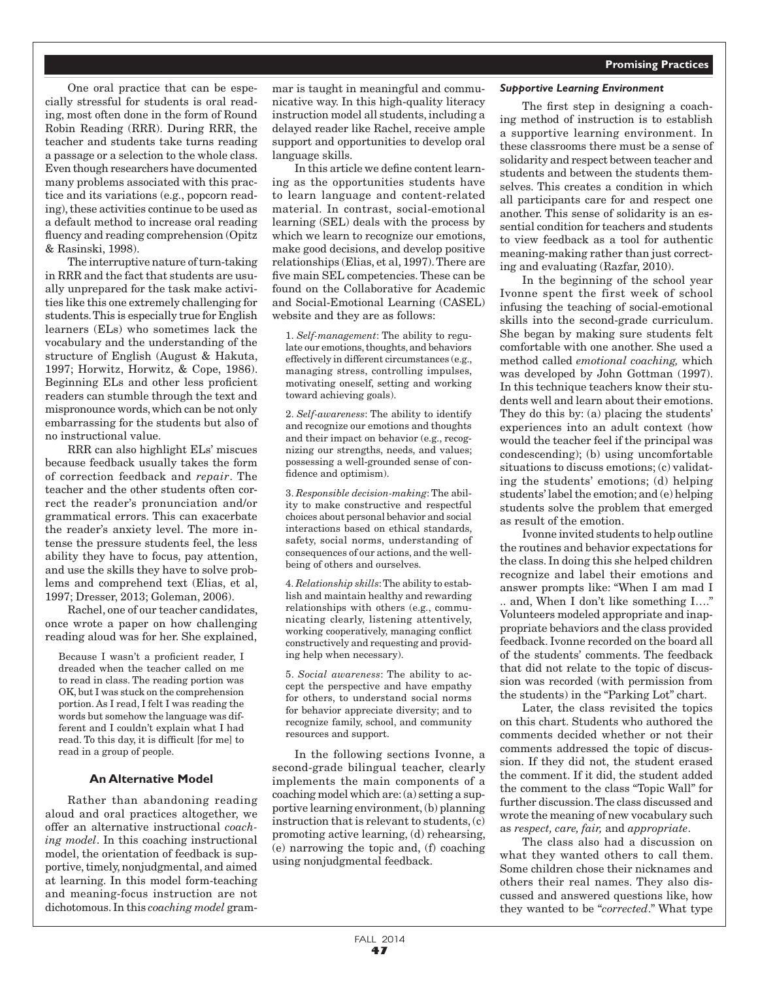One oral practice that can be especially stressful for students is oral reading, most often done in the form of Round Robin Reading (RRR). During RRR, the teacher and students take turns reading a passage or a selection to the whole class. Even though researchers have documented many problems associated with this practice and its variations (e.g., popcorn reading), these activities continue to be used as a default method to increase oral reading fluency and reading comprehension (Opitz & Rasinski, 1998).

The interruptive nature of turn-taking in RRR and the fact that students are usually unprepared for the task make activities like this one extremely challenging for students. This is especially true for English learners (ELs) who sometimes lack the vocabulary and the understanding of the structure of English (August & Hakuta, 1997; Horwitz, Horwitz, & Cope, 1986). Beginning ELs and other less proficient readers can stumble through the text and mispronounce words, which can be not only embarrassing for the students but also of no instructional value.

RRR can also highlight ELs' miscues because feedback usually takes the form of correction feedback and *repair*. The teacher and the other students often correct the reader's pronunciation and/or grammatical errors. This can exacerbate the reader's anxiety level. The more intense the pressure students feel, the less ability they have to focus, pay attention, and use the skills they have to solve problems and comprehend text (Elias, et al, 1997; Dresser, 2013; Goleman, 2006).

Rachel, one of our teacher candidates, once wrote a paper on how challenging reading aloud was for her. She explained,

Because I wasn't a proficient reader, I dreaded when the teacher called on me to read in class. The reading portion was OK, but I was stuck on the comprehension portion. As I read, I felt I was reading the words but somehow the language was different and I couldn't explain what I had read. To this day, it is difficult [for me] to read in a group of people.

#### **An Alternative Model**

Rather than abandoning reading aloud and oral practices altogether, we offer an alternative instructional *coaching model*. In this coaching instructional model, the orientation of feedback is supportive, timely, nonjudgmental, and aimed at learning. In this model form-teaching and meaning-focus instruction are not dichotomous. In this *coaching model* grammar is taught in meaningful and communicative way. In this high-quality literacy instruction model all students, including a delayed reader like Rachel, receive ample support and opportunities to develop oral language skills.

In this article we define content learning as the opportunities students have to learn language and content-related material. In contrast, social-emotional learning (SEL) deals with the process by which we learn to recognize our emotions, make good decisions, and develop positive relationships (Elias, et al, 1997). There are five main SEL competencies. These can be found on the Collaborative for Academic and Social-Emotional Learning (CASEL) website and they are as follows:

1. *Self-management*: The ability to regulate our emotions, thoughts, and behaviors effectively in different circumstances (e.g., managing stress, controlling impulses, motivating oneself, setting and working toward achieving goals).

2. *Self-awareness*: The ability to identify and recognize our emotions and thoughts and their impact on behavior (e.g., recognizing our strengths, needs, and values; possessing a well-grounded sense of confidence and optimism).

3. *Responsible decision-making*: The ability to make constructive and respectful choices about personal behavior and social interactions based on ethical standards, safety, social norms, understanding of consequences of our actions, and the wellbeing of others and ourselves.

4. *Relationship skills*: The ability to establish and maintain healthy and rewarding relationships with others (e.g., communicating clearly, listening attentively, working cooperatively, managing conflict constructively and requesting and providing help when necessary).

5. *Social awareness*: The ability to accept the perspective and have empathy for others, to understand social norms for behavior appreciate diversity; and to recognize family, school, and community resources and support.

In the following sections Ivonne, a second-grade bilingual teacher, clearly implements the main components of a coaching model which are: (a) setting a supportive learning environment, (b) planning instruction that is relevant to students, (c) promoting active learning, (d) rehearsing, (e) narrowing the topic and, (f) coaching using nonjudgmental feedback.

#### *Supportive Learning Environment*

The first step in designing a coaching method of instruction is to establish a supportive learning environment. In these classrooms there must be a sense of solidarity and respect between teacher and students and between the students themselves. This creates a condition in which all participants care for and respect one another. This sense of solidarity is an essential condition for teachers and students to view feedback as a tool for authentic meaning-making rather than just correcting and evaluating (Razfar, 2010).

In the beginning of the school year Ivonne spent the first week of school infusing the teaching of social-emotional skills into the second-grade curriculum. She began by making sure students felt comfortable with one another. She used a method called *emotional coaching,* which was developed by John Gottman (1997). In this technique teachers know their students well and learn about their emotions. They do this by: (a) placing the students' experiences into an adult context (how would the teacher feel if the principal was condescending); (b) using uncomfortable situations to discuss emotions; (c) validating the students' emotions; (d) helping students' label the emotion; and (e) helping students solve the problem that emerged as result of the emotion.

Ivonne invited students to help outline the routines and behavior expectations for the class. In doing this she helped children recognize and label their emotions and answer prompts like: "When I am mad I .. and, When I don't like something I…." Volunteers modeled appropriate and inappropriate behaviors and the class provided feedback. Ivonne recorded on the board all of the students' comments. The feedback that did not relate to the topic of discussion was recorded (with permission from the students) in the "Parking Lot" chart.

Later, the class revisited the topics on this chart. Students who authored the comments decided whether or not their comments addressed the topic of discussion. If they did not, the student erased the comment. If it did, the student added the comment to the class "Topic Wall" for further discussion. The class discussed and wrote the meaning of new vocabulary such as *respect, care, fair,* and *appropriate*.

The class also had a discussion on what they wanted others to call them. Some children chose their nicknames and others their real names. They also discussed and answered questions like, how they wanted to be "*corrected*." What type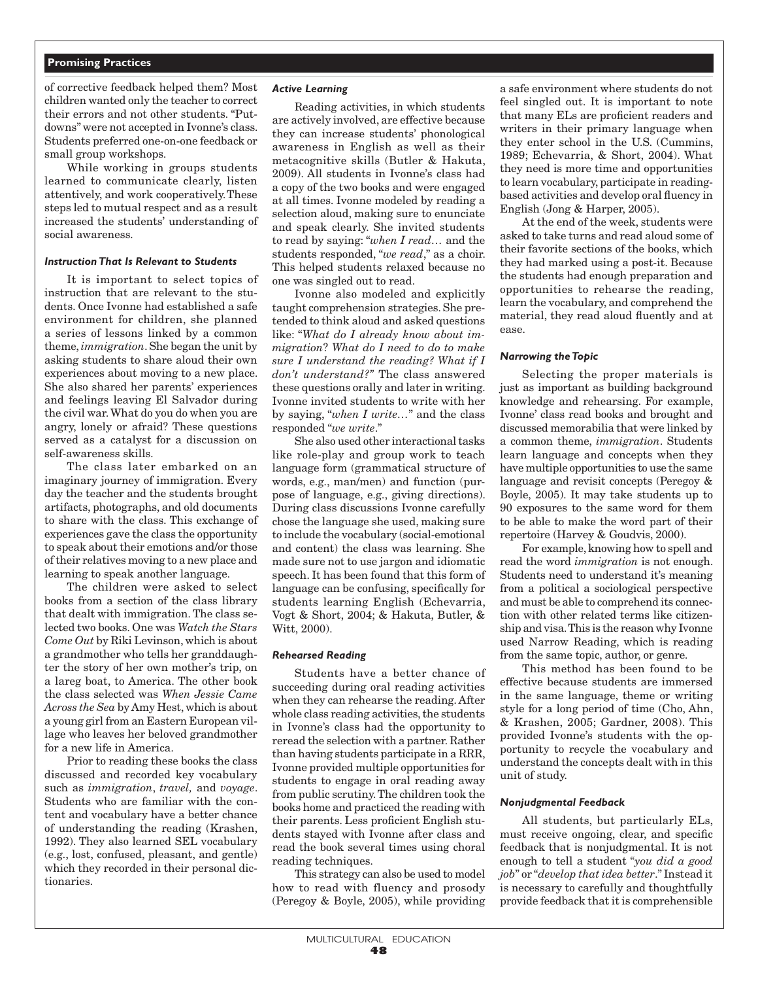## **Promising Practices**

of corrective feedback helped them? Most children wanted only the teacher to correct their errors and not other students. "Putdowns" were not accepted in Ivonne's class. Students preferred one-on-one feedback or small group workshops.

While working in groups students learned to communicate clearly, listen attentively, and work cooperatively.These steps led to mutual respect and as a result increased the students' understanding of social awareness.

#### *Instruction That Is Relevant to Students*

It is important to select topics of instruction that are relevant to the students. Once Ivonne had established a safe environment for children, she planned a series of lessons linked by a common theme, *immigration*. She began the unit by asking students to share aloud their own experiences about moving to a new place. She also shared her parents' experiences and feelings leaving El Salvador during the civil war. What do you do when you are angry, lonely or afraid? These questions served as a catalyst for a discussion on self-awareness skills.

The class later embarked on an imaginary journey of immigration. Every day the teacher and the students brought artifacts, photographs, and old documents to share with the class. This exchange of experiences gave the class the opportunity to speak about their emotions and/or those of their relatives moving to a new place and learning to speak another language.

The children were asked to select books from a section of the class library that dealt with immigration. The class selected two books. One was *Watch the Stars Come Out* by Riki Levinson, which is about a grandmother who tells her granddaughter the story of her own mother's trip, on a lareg boat, to America. The other book the class selected was *When Jessie Came Across the Sea* by Amy Hest, which is about a young girl from an Eastern European village who leaves her beloved grandmother for a new life in America.

Prior to reading these books the class discussed and recorded key vocabulary such as *immigration*, *travel,* and *voyage*. Students who are familiar with the content and vocabulary have a better chance of understanding the reading (Krashen, 1992). They also learned SEL vocabulary (e.g., lost, confused, pleasant, and gentle) which they recorded in their personal dictionaries.

#### *Active Learning*

Reading activities, in which students are actively involved, are effective because they can increase students' phonological awareness in English as well as their metacognitive skills (Butler & Hakuta, 2009). All students in Ivonne's class had a copy of the two books and were engaged at all times. Ivonne modeled by reading a selection aloud, making sure to enunciate and speak clearly. She invited students to read by saying: "*when I read…* and the students responded, "*we read*," as a choir. This helped students relaxed because no one was singled out to read.

Ivonne also modeled and explicitly taught comprehension strategies. She pretended to think aloud and asked questions like: "*What do I already know about immigration*? *What do I need to do to make sure I understand the reading? What if I don't understand?"* The class answered these questions orally and later in writing. Ivonne invited students to write with her by saying, "*when I write…*" and the class responded "*we write*."

She also used other interactional tasks like role-play and group work to teach language form (grammatical structure of words, e.g., man/men) and function (purpose of language, e.g., giving directions). During class discussions Ivonne carefully chose the language she used, making sure to include the vocabulary (social-emotional and content) the class was learning. She made sure not to use jargon and idiomatic speech. It has been found that this form of language can be confusing, specifically for students learning English (Echevarria, Vogt & Short, 2004; & Hakuta, Butler, & Witt, 2000).

#### *Rehearsed Reading*

Students have a better chance of succeeding during oral reading activities when they can rehearse the reading. After whole class reading activities, the students in Ivonne's class had the opportunity to reread the selection with a partner. Rather than having students participate in a RRR, Ivonne provided multiple opportunities for students to engage in oral reading away from public scrutiny. The children took the books home and practiced the reading with their parents. Less proficient English students stayed with Ivonne after class and read the book several times using choral reading techniques.

This strategy can also be used to model how to read with fluency and prosody (Peregoy & Boyle, 2005), while providing a safe environment where students do not feel singled out. It is important to note that many ELs are proficient readers and writers in their primary language when they enter school in the U.S. (Cummins, 1989; Echevarria, & Short, 2004). What they need is more time and opportunities to learn vocabulary, participate in readingbased activities and develop oral fluency in English (Jong & Harper, 2005).

At the end of the week, students were asked to take turns and read aloud some of their favorite sections of the books, which they had marked using a post-it. Because the students had enough preparation and opportunities to rehearse the reading, learn the vocabulary, and comprehend the material, they read aloud fluently and at ease.

#### *Narrowing the Topic*

Selecting the proper materials is just as important as building background knowledge and rehearsing. For example, Ivonne' class read books and brought and discussed memorabilia that were linked by a common theme, *immigration*. Students learn language and concepts when they have multiple opportunities to use the same language and revisit concepts (Peregoy & Boyle, 2005). It may take students up to 90 exposures to the same word for them to be able to make the word part of their repertoire (Harvey & Goudvis, 2000).

For example, knowing how to spell and read the word *immigration* is not enough. Students need to understand it's meaning from a political a sociological perspective and must be able to comprehend its connection with other related terms like citizenship and visa. This is the reason why Ivonne used Narrow Reading, which is reading from the same topic, author, or genre.

This method has been found to be effective because students are immersed in the same language, theme or writing style for a long period of time (Cho, Ahn, & Krashen, 2005; Gardner, 2008). This provided Ivonne's students with the opportunity to recycle the vocabulary and understand the concepts dealt with in this unit of study.

#### *Nonjudgmental Feedback*

All students, but particularly ELs, must receive ongoing, clear, and specific feedback that is nonjudgmental. It is not enough to tell a student "*you did a good job*" or "*develop that idea better*." Instead it is necessary to carefully and thoughtfully provide feedback that it is comprehensible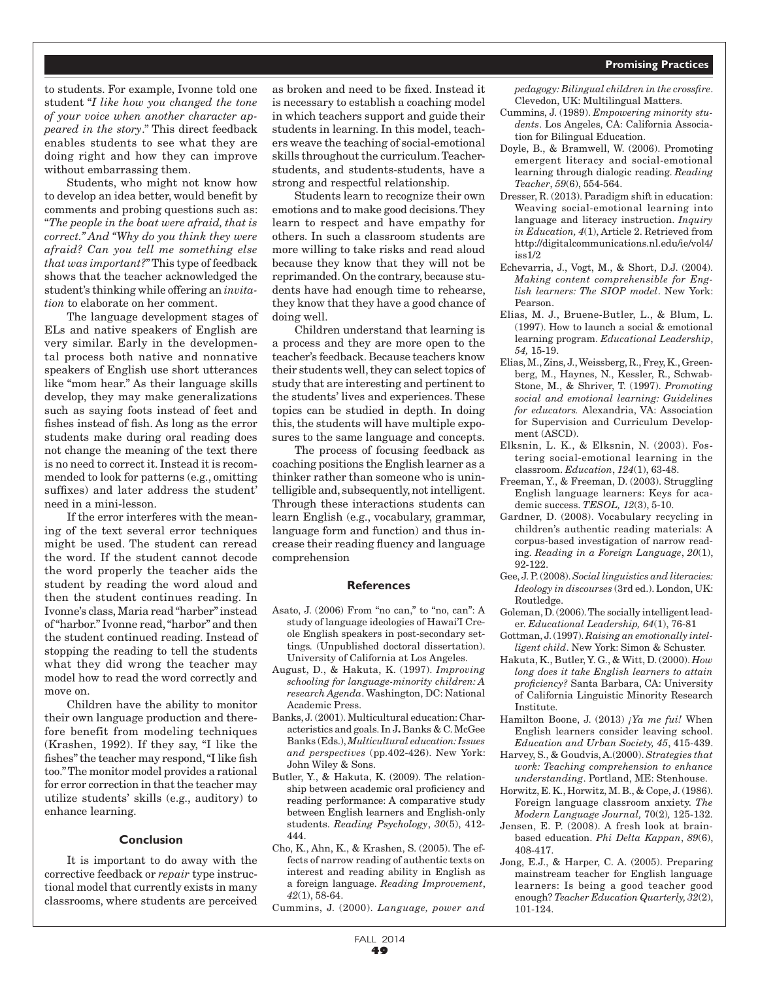#### **Promising Practices**

to students. For example, Ivonne told one student "*I like how you changed the tone of your voice when another character appeared in the story*." This direct feedback enables students to see what they are doing right and how they can improve without embarrassing them.

Students, who might not know how to develop an idea better, would benefit by comments and probing questions such as: "*The people in the boat were afraid, that is correct." And "Why do you think they were afraid? Can you tell me something else that was important?*" This type of feedback shows that the teacher acknowledged the student's thinking while offering an *invitation* to elaborate on her comment.

The language development stages of ELs and native speakers of English are very similar. Early in the developmental process both native and nonnative speakers of English use short utterances like "mom hear." As their language skills develop, they may make generalizations such as saying foots instead of feet and fishes instead of fish. As long as the error students make during oral reading does not change the meaning of the text there is no need to correct it. Instead it is recommended to look for patterns (e.g., omitting suffixes) and later address the student' need in a mini-lesson.

If the error interferes with the meaning of the text several error techniques might be used. The student can reread the word. If the student cannot decode the word properly the teacher aids the student by reading the word aloud and then the student continues reading. In Ivonne's class, Maria read "harber" instead of "harbor." Ivonne read, "harbor" and then the student continued reading. Instead of stopping the reading to tell the students what they did wrong the teacher may model how to read the word correctly and move on.

Children have the ability to monitor their own language production and therefore benefit from modeling techniques (Krashen, 1992). If they say, "I like the fishes" the teacher may respond, "I like fish too." The monitor model provides a rational for error correction in that the teacher may utilize students' skills (e.g., auditory) to enhance learning.

#### **Conclusion**

It is important to do away with the corrective feedback or *repair* type instructional model that currently exists in many classrooms, where students are perceived

as broken and need to be fixed. Instead it is necessary to establish a coaching model in which teachers support and guide their students in learning. In this model, teachers weave the teaching of social-emotional skills throughout the curriculum. Teacherstudents, and students-students, have a strong and respectful relationship.

Students learn to recognize their own emotions and to make good decisions. They learn to respect and have empathy for others. In such a classroom students are more willing to take risks and read aloud because they know that they will not be reprimanded. On the contrary, because students have had enough time to rehearse, they know that they have a good chance of doing well.

Children understand that learning is a process and they are more open to the teacher's feedback. Because teachers know their students well, they can select topics of study that are interesting and pertinent to the students' lives and experiences. These topics can be studied in depth. In doing this, the students will have multiple exposures to the same language and concepts.

The process of focusing feedback as coaching positions the English learner as a thinker rather than someone who is unintelligible and, subsequently, not intelligent. Through these interactions students can learn English (e.g., vocabulary, grammar, language form and function) and thus increase their reading fluency and language comprehension

#### **References**

- Asato, J. (2006) From "no can," to "no, can": A study of language ideologies of Hawai'I Creole English speakers in post-secondary settings*.* (Unpublished doctoral dissertation). University of California at Los Angeles.
- August, D., & Hakuta, K. (1997). *Improving schooling for language-minority children: A research Agenda*. Washington, DC: National Academic Press.
- Banks, J. (2001). Multicultural education: Characteristics and goals. In J**.** Banks & C. McGee Banks (Eds.), *Multicultural education: Issues and perspectives* (pp.402-426). New York: John Wiley & Sons.
- Butler, Y., & Hakuta, K. (2009). The relationship between academic oral proficiency and reading performance: A comparative study between English learners and English-only students. *Reading Psychology*, *30*(5), 412- 444.
- Cho, K., Ahn, K., & Krashen, S. (2005). The effects of narrow reading of authentic texts on interest and reading ability in English as a foreign language. *Reading Improvement*, *42*(1), 58-64.

Cummins, J. (2000). *Language, power and* 

*pedagogy: Bilingual children in the crossfire*. Clevedon, UK: Multilingual Matters.

- Cummins, J. (1989). *Empowering minority students*. Los Angeles, CA: California Association for Bilingual Education.
- Doyle, B., & Bramwell, W. (2006). Promoting emergent literacy and social-emotional learning through dialogic reading. *Reading Teacher*, *59*(6), 554-564.
- Dresser, R. (2013). Paradigm shift in education: Weaving social-emotional learning into language and literacy instruction. *Inquiry in Education, 4*(1), Article 2. Retrieved from http://digitalcommunications.nl.edu/ie/vol4/ iss1/2
- Echevarria, J., Vogt, M., & Short, D.J. (2004). *Making content comprehensible for English learners: The SIOP model*. New York: Pearson.
- Elias, M. J., Bruene-Butler, L., & Blum, L. (1997). How to launch a social & emotional learning program. *Educational Leadership*, *54,* 15-19.
- Elias, M., Zins, J., Weissberg, R., Frey, K., Greenberg, M., Haynes, N., Kessler, R., Schwab-Stone, M., & Shriver, T. (1997). *Promoting social and emotional learning: Guidelines for educators.* Alexandria, VA: Association for Supervision and Curriculum Development (ASCD).
- Elksnin, L. K., & Elksnin, N. (2003). Fostering social-emotional learning in the classroom. *Education*, *124*(1), 63-48.
- Freeman, Y., & Freeman, D. (2003). Struggling English language learners: Keys for academic success. *TESOL, 12*(3), 5-10.
- Gardner, D. (2008). Vocabulary recycling in children's authentic reading materials: A corpus-based investigation of narrow reading. *Reading in a Foreign Language*, *20*(1), 92-122.
- Gee, J. P. (2008). *Social linguistics and literacies: Ideology in discourses* (3rd ed.). London, UK: Routledge.
- Goleman, D. (2006). The socially intelligent leader. *Educational Leadership, 64*(1), 76-81
- Gottman, J. (1997). *Raising an emotionally intelligent child*. New York: Simon & Schuster.
- Hakuta, K., Butler, Y. G., & Witt, D. (2000). *How long does it take English learners to attain proficiency?* Santa Barbara, CA: University of California Linguistic Minority Research Institute.
- Hamilton Boone, J. (2013) *¡Ya me fui!* When English learners consider leaving school. *Education and Urban Society, 45*, 415-439.
- Harvey, S., & Goudvis, A.(2000). *Strategies that work: Teaching comprehension to enhance understanding*. Portland, ME: Stenhouse.
- Horwitz, E. K., Horwitz, M. B., & Cope, J. (1986). Foreign language classroom anxiety. *The Modern Language Journal,* 70(2)*,* 125-132.
- Jensen, E. P. (2008). A fresh look at brainbased education. *Phi Delta Kappan*, *89*(6), 408-417.
- Jong, E.J., & Harper, C. A. (2005). Preparing mainstream teacher for English language learners: Is being a good teacher good enough? *Teacher Education Quarterly, 32*(2), 101-124.